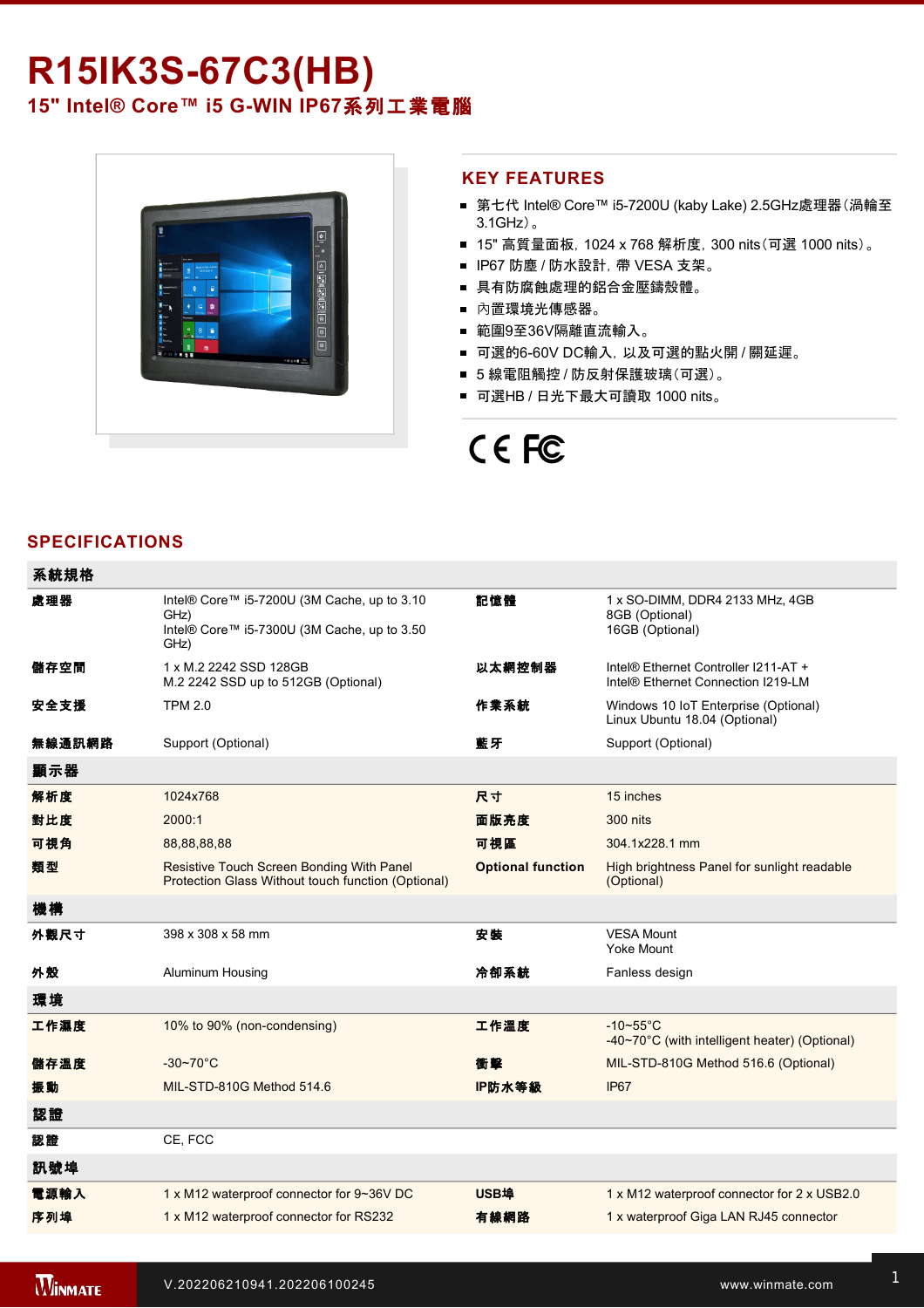## **R15IK3S-67C3(HB) 15" Intel® Core™ i5 G-WIN IP67系列工業電腦**



#### **KEY FEATURES**

- 第七代 Intel® Core™ i5-7200U (kaby Lake) 2.5GHz處理器(渦輪至 3.1GHz)。
- 15" 高質量面板, 1024 x 768 解析度, 300 nits(可選 1000 nits)。
- IP67 防塵 / 防水設計, 帶 VESA 支架。
- 具有防腐蝕處理的鋁合金壓鑄殼體。
- 內置環境光傳感器。
- 範圍9至36V隔離直流輸入。
- 可選的6-60V DC輸入, 以及可選的點火開 / 關延遲。
- 5 線電阻觸控 / 防反射保護玻璃(可選)。
- 可選HB / 日光下最大可讀取 1000 nits。

# CE FC

#### **SPECIFICATIONS**

| 系統規格   |                                                                                                            |                          |                                                                            |
|--------|------------------------------------------------------------------------------------------------------------|--------------------------|----------------------------------------------------------------------------|
| 處理器    | Intel® Core™ i5-7200U (3M Cache, up to 3.10<br>GHz)<br>Intel® Core™ i5-7300U (3M Cache, up to 3.50<br>GHz) | 記憶體                      | 1 x SO-DIMM, DDR4 2133 MHz, 4GB<br>8GB (Optional)<br>16GB (Optional)       |
| 儲存空間   | 1 x M.2 2242 SSD 128GB<br>M.2 2242 SSD up to 512GB (Optional)                                              | 以太網控制器                   | Intel® Ethernet Controller I211-AT +<br>Intel® Ethernet Connection I219-LM |
| 安全支援   | <b>TPM 2.0</b>                                                                                             | 作業系統                     | Windows 10 IoT Enterprise (Optional)<br>Linux Ubuntu 18.04 (Optional)      |
| 無線通訊網路 | Support (Optional)                                                                                         | 藍牙                       | Support (Optional)                                                         |
| 顯示器    |                                                                                                            |                          |                                                                            |
| 解析度    | 1024x768                                                                                                   | 尺寸                       | 15 inches                                                                  |
| 對比度    | 2000:1                                                                                                     | 面版亮度                     | <b>300 nits</b>                                                            |
| 可視角    | 88,88,88,88                                                                                                | 可視區                      | 304.1x228.1 mm                                                             |
| 類型     | Resistive Touch Screen Bonding With Panel<br>Protection Glass Without touch function (Optional)            | <b>Optional function</b> | High brightness Panel for sunlight readable<br>(Optional)                  |
| 機構     |                                                                                                            |                          |                                                                            |
| 外觀尺寸   | 398 x 308 x 58 mm                                                                                          | 安装                       | <b>VESA Mount</b><br><b>Yoke Mount</b>                                     |
| 外殼     | Aluminum Housing                                                                                           | 冷卻系統                     | Fanless design                                                             |
| 環境     |                                                                                                            |                          |                                                                            |
| 工作濕度   | 10% to 90% (non-condensing)                                                                                | 工作溫度                     | $-10-55$ °C<br>-40~70°C (with intelligent heater) (Optional)               |
| 儲存溫度   | $-30-70$ °C                                                                                                | 衝擊                       | MIL-STD-810G Method 516.6 (Optional)                                       |
| 振動     | MIL-STD-810G Method 514.6                                                                                  | IP防水等級                   | IP67                                                                       |
| 認證     |                                                                                                            |                          |                                                                            |
| 認證     | CE, FCC                                                                                                    |                          |                                                                            |
| 訊號埠    |                                                                                                            |                          |                                                                            |
| 電源輸入   | 1 x M12 waterproof connector for 9~36V DC                                                                  | <b>USB埠</b>              | 1 x M12 waterproof connector for 2 x USB2.0                                |
| 序列埠    | 1 x M12 waterproof connector for RS232                                                                     | 有線網路                     | 1 x waterproof Giga LAN RJ45 connector                                     |

**在** 1 x Power Button Button Button Button Button Button Button Button Button Button Button Button Button Button

 $1.1 < \alpha$